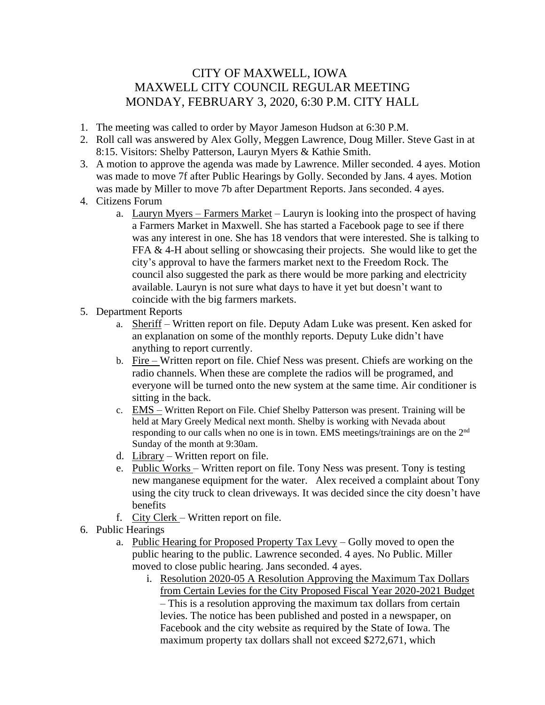## CITY OF MAXWELL, IOWA MAXWELL CITY COUNCIL REGULAR MEETING MONDAY, FEBRUARY 3, 2020, 6:30 P.M. CITY HALL

- 1. The meeting was called to order by Mayor Jameson Hudson at 6:30 P.M.
- 2. Roll call was answered by Alex Golly, Meggen Lawrence, Doug Miller. Steve Gast in at 8:15. Visitors: Shelby Patterson, Lauryn Myers & Kathie Smith.
- 3. A motion to approve the agenda was made by Lawrence. Miller seconded. 4 ayes. Motion was made to move 7f after Public Hearings by Golly. Seconded by Jans. 4 ayes. Motion was made by Miller to move 7b after Department Reports. Jans seconded. 4 ayes.
- 4. Citizens Forum
	- a. Lauryn Myers Farmers Market Lauryn is looking into the prospect of having a Farmers Market in Maxwell. She has started a Facebook page to see if there was any interest in one. She has 18 vendors that were interested. She is talking to FFA & 4-H about selling or showcasing their projects. She would like to get the city's approval to have the farmers market next to the Freedom Rock. The council also suggested the park as there would be more parking and electricity available. Lauryn is not sure what days to have it yet but doesn't want to coincide with the big farmers markets.
- 5. Department Reports
	- a. Sheriff Written report on file. Deputy Adam Luke was present. Ken asked for an explanation on some of the monthly reports. Deputy Luke didn't have anything to report currently.
	- b. Fire Written report on file. Chief Ness was present. Chiefs are working on the radio channels. When these are complete the radios will be programed, and everyone will be turned onto the new system at the same time. Air conditioner is sitting in the back.
	- c. EMS Written Report on File. Chief Shelby Patterson was present. Training will be held at Mary Greely Medical next month. Shelby is working with Nevada about responding to our calls when no one is in town. EMS meetings/trainings are on the 2<sup>nd</sup> Sunday of the month at 9:30am.
	- d. Library Written report on file.
	- e. Public Works Written report on file. Tony Ness was present. Tony is testing new manganese equipment for the water. Alex received a complaint about Tony using the city truck to clean driveways. It was decided since the city doesn't have benefits
	- f. City Clerk Written report on file.
- 6. Public Hearings
	- a. Public Hearing for Proposed Property Tax Levy Golly moved to open the public hearing to the public. Lawrence seconded. 4 ayes. No Public. Miller moved to close public hearing. Jans seconded. 4 ayes.
		- i. Resolution 2020-05 A Resolution Approving the Maximum Tax Dollars from Certain Levies for the City Proposed Fiscal Year 2020-2021 Budget – This is a resolution approving the maximum tax dollars from certain levies. The notice has been published and posted in a newspaper, on Facebook and the city website as required by the State of Iowa. The maximum property tax dollars shall not exceed \$272,671, which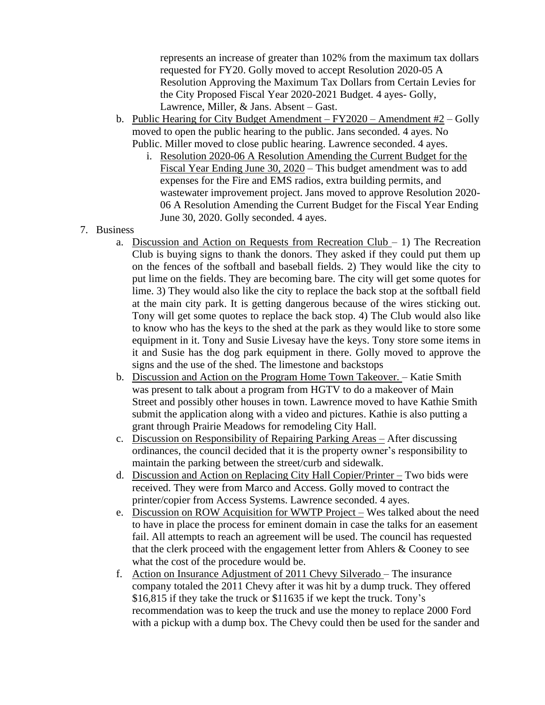represents an increase of greater than 102% from the maximum tax dollars requested for FY20. Golly moved to accept Resolution 2020-05 A Resolution Approving the Maximum Tax Dollars from Certain Levies for the City Proposed Fiscal Year 2020-2021 Budget. 4 ayes- Golly, Lawrence, Miller, & Jans. Absent – Gast.

- b. Public Hearing for City Budget Amendment  $FY2020 -$  Amendment  $#2 -$ Golly moved to open the public hearing to the public. Jans seconded. 4 ayes. No Public. Miller moved to close public hearing. Lawrence seconded. 4 ayes.
	- i. Resolution 2020-06 A Resolution Amending the Current Budget for the Fiscal Year Ending June 30, 2020 – This budget amendment was to add expenses for the Fire and EMS radios, extra building permits, and wastewater improvement project. Jans moved to approve Resolution 2020- 06 A Resolution Amending the Current Budget for the Fiscal Year Ending June 30, 2020. Golly seconded. 4 ayes.
- 7. Business
	- a. Discussion and Action on Requests from Recreation Club  $-1$ ) The Recreation Club is buying signs to thank the donors. They asked if they could put them up on the fences of the softball and baseball fields. 2) They would like the city to put lime on the fields. They are becoming bare. The city will get some quotes for lime. 3) They would also like the city to replace the back stop at the softball field at the main city park. It is getting dangerous because of the wires sticking out. Tony will get some quotes to replace the back stop. 4) The Club would also like to know who has the keys to the shed at the park as they would like to store some equipment in it. Tony and Susie Livesay have the keys. Tony store some items in it and Susie has the dog park equipment in there. Golly moved to approve the signs and the use of the shed. The limestone and backstops
	- b. Discussion and Action on the Program Home Town Takeover. Katie Smith was present to talk about a program from HGTV to do a makeover of Main Street and possibly other houses in town. Lawrence moved to have Kathie Smith submit the application along with a video and pictures. Kathie is also putting a grant through Prairie Meadows for remodeling City Hall.
	- c. Discussion on Responsibility of Repairing Parking Areas After discussing ordinances, the council decided that it is the property owner's responsibility to maintain the parking between the street/curb and sidewalk.
	- d. Discussion and Action on Replacing City Hall Copier/Printer Two bids were received. They were from Marco and Access. Golly moved to contract the printer/copier from Access Systems. Lawrence seconded. 4 ayes.
	- e. Discussion on ROW Acquisition for WWTP Project Wes talked about the need to have in place the process for eminent domain in case the talks for an easement fail. All attempts to reach an agreement will be used. The council has requested that the clerk proceed with the engagement letter from Ahlers & Cooney to see what the cost of the procedure would be.
	- f. Action on Insurance Adjustment of 2011 Chevy Silverado The insurance company totaled the 2011 Chevy after it was hit by a dump truck. They offered \$16,815 if they take the truck or \$11635 if we kept the truck. Tony's recommendation was to keep the truck and use the money to replace 2000 Ford with a pickup with a dump box. The Chevy could then be used for the sander and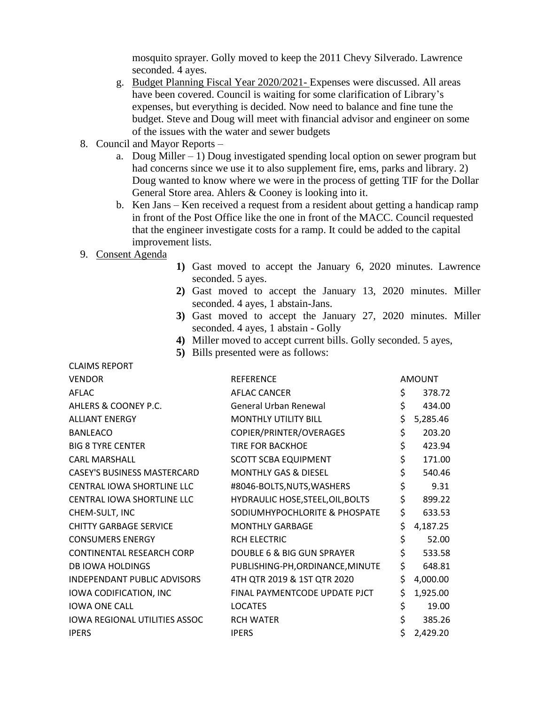mosquito sprayer. Golly moved to keep the 2011 Chevy Silverado. Lawrence seconded. 4 ayes.

- g. Budget Planning Fiscal Year 2020/2021- Expenses were discussed. All areas have been covered. Council is waiting for some clarification of Library's expenses, but everything is decided. Now need to balance and fine tune the budget. Steve and Doug will meet with financial advisor and engineer on some of the issues with the water and sewer budgets
- 8. Council and Mayor Reports
	- a. Doug Miller 1) Doug investigated spending local option on sewer program but had concerns since we use it to also supplement fire, ems, parks and library. 2) Doug wanted to know where we were in the process of getting TIF for the Dollar General Store area. Ahlers & Cooney is looking into it.
	- b. Ken Jans Ken received a request from a resident about getting a handicap ramp in front of the Post Office like the one in front of the MACC. Council requested that the engineer investigate costs for a ramp. It could be added to the capital improvement lists.

## 9. Consent Agenda

CLAIMS REPORT

- **1)** Gast moved to accept the January 6, 2020 minutes. Lawrence seconded. 5 ayes.
- **2)** Gast moved to accept the January 13, 2020 minutes. Miller seconded. 4 ayes, 1 abstain-Jans.
- **3)** Gast moved to accept the January 27, 2020 minutes. Miller seconded. 4 ayes, 1 abstain - Golly
- **4)** Miller moved to accept current bills. Golly seconded. 5 ayes,
- **5)** Bills presented were as follows:

| <b>CLAIND INLEVINI</b>               |                                   |                |
|--------------------------------------|-----------------------------------|----------------|
| <b>VENDOR</b>                        | <b>REFERENCE</b>                  | <b>AMOUNT</b>  |
| AFLAC                                | <b>AFLAC CANCER</b>               | \$<br>378.72   |
| AHLERS & COONEY P.C.                 | <b>General Urban Renewal</b>      | \$<br>434.00   |
| <b>ALLIANT ENERGY</b>                | <b>MONTHLY UTILITY BILL</b>       | \$<br>5,285.46 |
| <b>BANLEACO</b>                      | COPIER/PRINTER/OVERAGES           | \$<br>203.20   |
| <b>BIG 8 TYRE CENTER</b>             | TIRE FOR BACKHOE                  | \$<br>423.94   |
| <b>CARL MARSHALL</b>                 | <b>SCOTT SCBA EQUIPMENT</b>       | \$<br>171.00   |
| <b>CASEY'S BUSINESS MASTERCARD</b>   | <b>MONTHLY GAS &amp; DIESEL</b>   | \$<br>540.46   |
| CENTRAL IOWA SHORTLINE LLC           | #8046-BOLTS, NUTS, WASHERS        | \$<br>9.31     |
| CENTRAL IOWA SHORTLINE LLC           | HYDRAULIC HOSE, STEEL, OIL, BOLTS | \$<br>899.22   |
| CHEM-SULT, INC                       | SODIUMHYPOCHLORITE & PHOSPATE     | \$<br>633.53   |
| <b>CHITTY GARBAGE SERVICE</b>        | <b>MONTHLY GARBAGE</b>            | \$<br>4,187.25 |
| <b>CONSUMERS ENERGY</b>              | <b>RCH ELECTRIC</b>               | \$<br>52.00    |
| CONTINENTAL RESEARCH CORP            | DOUBLE 6 & BIG GUN SPRAYER        | \$<br>533.58   |
| <b>DB IOWA HOLDINGS</b>              | PUBLISHING-PH, ORDINANCE, MINUTE  | \$<br>648.81   |
| <b>INDEPENDANT PUBLIC ADVISORS</b>   | 4TH QTR 2019 & 1ST QTR 2020       | \$<br>4,000.00 |
| IOWA CODIFICATION, INC               | FINAL PAYMENTCODE UPDATE PJCT     | \$<br>1,925.00 |
| <b>IOWA ONE CALL</b>                 | <b>LOCATES</b>                    | \$<br>19.00    |
| <b>IOWA REGIONAL UTILITIES ASSOC</b> | <b>RCH WATER</b>                  | \$<br>385.26   |
| <b>IPERS</b>                         | <b>IPERS</b>                      | \$<br>2,429.20 |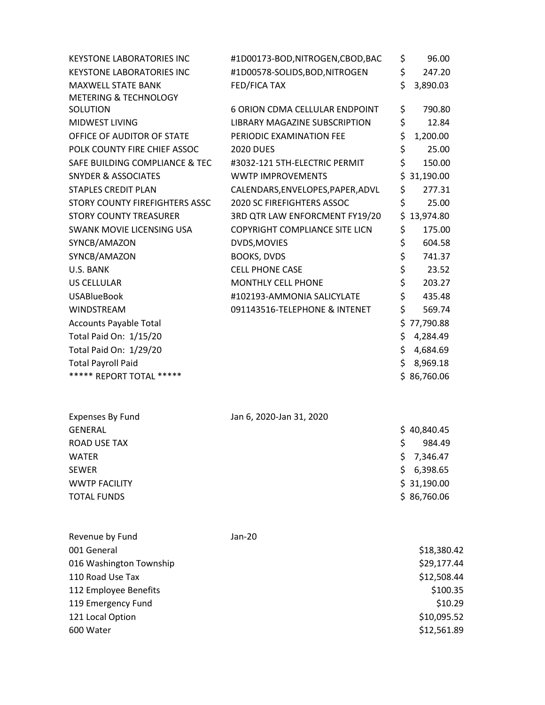| <b>KEYSTONE LABORATORIES INC</b> | #1D00173-BOD,NITROGEN,CBOD,BAC        | \$  | 96.00       |
|----------------------------------|---------------------------------------|-----|-------------|
| <b>KEYSTONE LABORATORIES INC</b> | #1D00578-SOLIDS, BOD, NITROGEN        | \$  | 247.20      |
| MAXWELL STATE BANK               | FED/FICA TAX                          | \$  | 3,890.03    |
| <b>METERING &amp; TECHNOLOGY</b> |                                       |     |             |
| SOLUTION                         | <b>6 ORION CDMA CELLULAR ENDPOINT</b> | \$  | 790.80      |
| MIDWEST LIVING                   | LIBRARY MAGAZINE SUBSCRIPTION         | \$  | 12.84       |
| OFFICE OF AUDITOR OF STATE       | PERIODIC EXAMINATION FEE              | \$  | 1,200.00    |
| POLK COUNTY FIRE CHIEF ASSOC     | <b>2020 DUES</b>                      | \$  | 25.00       |
| SAFE BUILDING COMPLIANCE & TEC   | #3032-121 5TH-ELECTRIC PERMIT         | \$  | 150.00      |
| <b>SNYDER &amp; ASSOCIATES</b>   | <b>WWTP IMPROVEMENTS</b>              | \$  | 31,190.00   |
| <b>STAPLES CREDIT PLAN</b>       | CALENDARS, ENVELOPES, PAPER, ADVL     | \$  | 277.31      |
| STORY COUNTY FIREFIGHTERS ASSC   | <b>2020 SC FIREFIGHTERS ASSOC</b>     | \$  | 25.00       |
| <b>STORY COUNTY TREASURER</b>    | 3RD QTR LAW ENFORCMENT FY19/20        |     | \$13,974.80 |
| SWANK MOVIE LICENSING USA        | <b>COPYRIGHT COMPLIANCE SITE LICN</b> | \$  | 175.00      |
| SYNCB/AMAZON                     | DVDS, MOVIES                          | \$  | 604.58      |
| SYNCB/AMAZON                     | <b>BOOKS, DVDS</b>                    | \$  | 741.37      |
| U.S. BANK                        | CELL PHONE CASE                       | \$  | 23.52       |
| US CELLULAR                      | <b>MONTHLY CELL PHONE</b>             | \$  | 203.27      |
| <b>USABlueBook</b>               | #102193-AMMONIA SALICYLATE            | \$  | 435.48      |
| WINDSTREAM                       | 091143516-TELEPHONE & INTENET         | \$  | 569.74      |
| <b>Accounts Payable Total</b>    |                                       | \$  | 77,790.88   |
| Total Paid On: 1/15/20           |                                       | \$. | 4,284.49    |
| Total Paid On: 1/29/20           |                                       | \$. | 4,684.69    |
| <b>Total Payroll Paid</b>        |                                       | \$  | 8,969.18    |
| ***** REPORT TOTAL *****         |                                       |     | \$86,760.06 |
|                                  |                                       |     |             |
| <b>Expenses By Fund</b>          | Jan 6, 2020-Jan 31, 2020              |     |             |
| <b>GENERAL</b>                   |                                       |     | \$40,840.45 |
| <b>ROAD USE TAX</b>              |                                       | \$  | 984.49      |
| <b>WATER</b>                     |                                       | \$  | 7,346.47    |
| <b>SEWER</b>                     |                                       | \$. | 6,398.65    |
| <b>WWTP FACILITY</b>             |                                       |     | \$31,190.00 |
| <b>TOTAL FUNDS</b>               |                                       |     | \$86,760.06 |
| Revenue by Fund                  | Jan-20                                |     |             |
| 001 General                      |                                       |     | \$18,380.42 |
| 016 Washington Township          |                                       |     | \$29,177.44 |
| 110 Road Use Tax                 |                                       |     | \$12,508.44 |
| 112 Employee Benefits            |                                       |     | \$100.35    |
| 119 Emergency Fund               |                                       |     | \$10.29     |
| 121 Local Option                 |                                       |     | \$10,095.52 |
| 600 Water                        |                                       |     | \$12,561.89 |
|                                  |                                       |     |             |